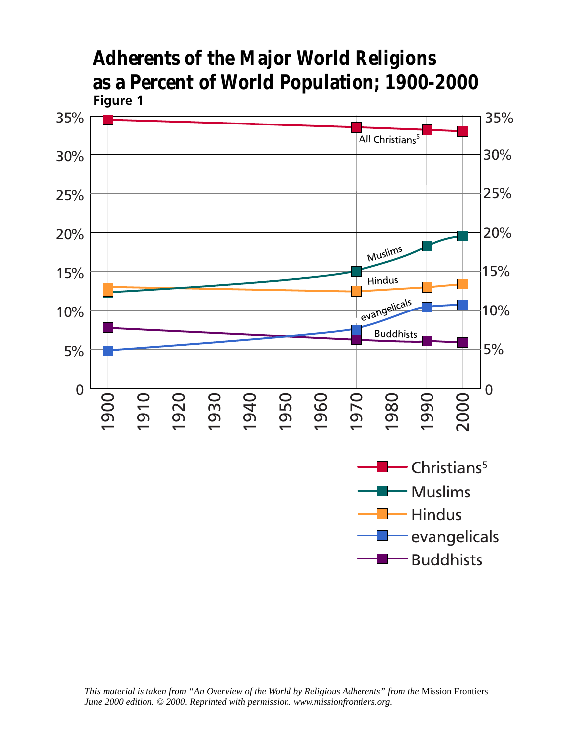

**Adherents of the Major World Religions as a Percent of World Population; 1900-2000**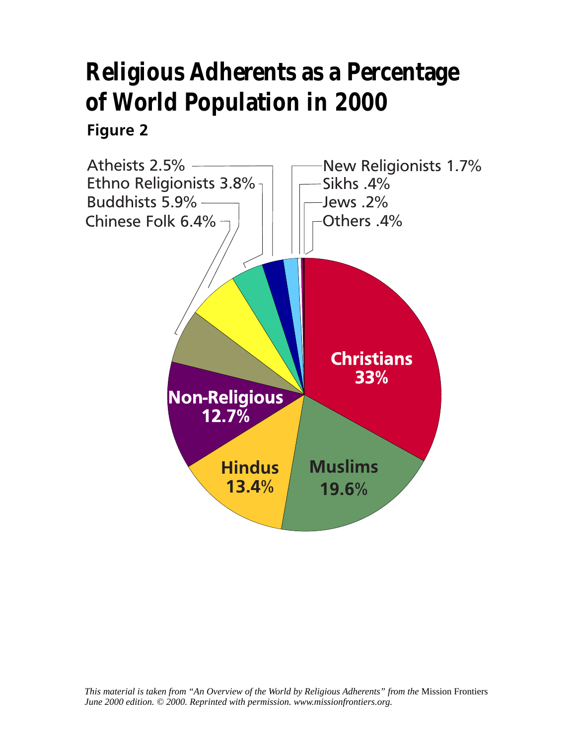## **Religious Adherents as a Percentage of World Population in 2000**

## **Figure 2**

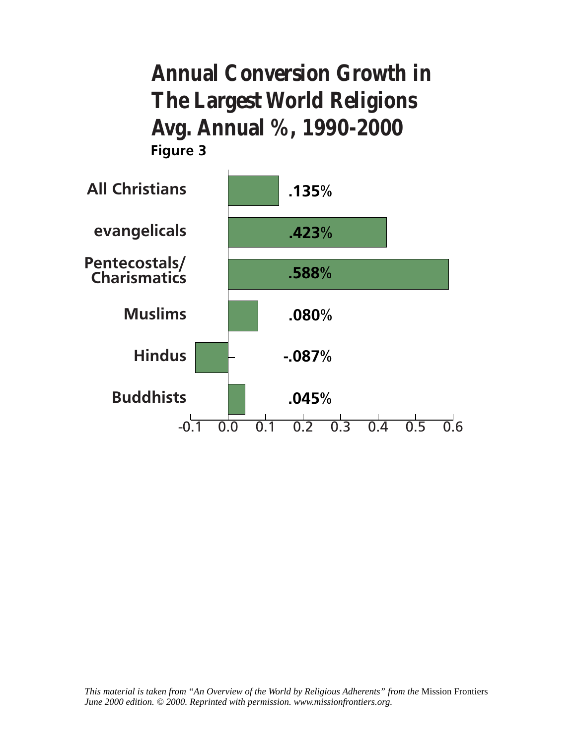**Annual Conversion Growth in The Largest World Religions Avg. Annual %, 1990-2000 Figure 3**

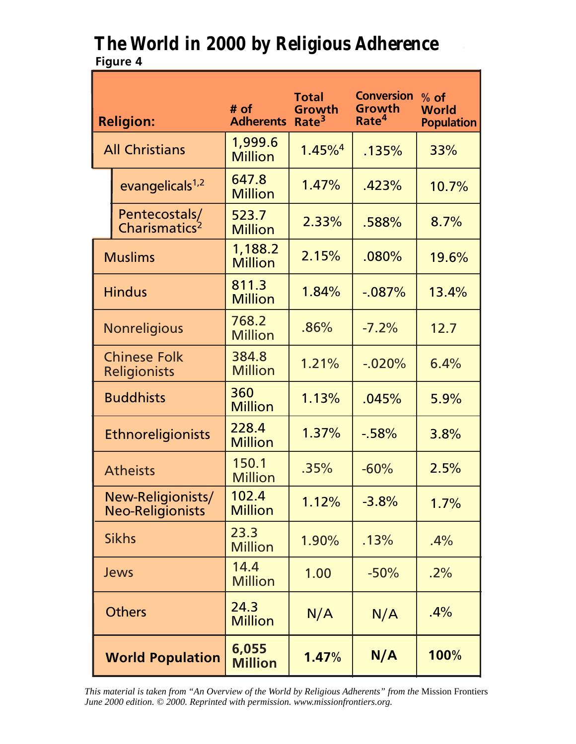## **The World in 2000 by Religious Adherence Figure 4**

| <b>Religion:</b>                             |                                            | # $of$<br><b>Adherents</b> | <b>Total</b><br>Growth<br>Rate <sup>3</sup> | <b>Conversion</b><br>Growth<br>Rate <sup>4</sup> | $%$ of<br><b>World</b><br><b>Population</b> |
|----------------------------------------------|--------------------------------------------|----------------------------|---------------------------------------------|--------------------------------------------------|---------------------------------------------|
| <b>All Christians</b>                        |                                            | 1,999.6<br><b>Million</b>  | $1.45\%$ <sup>4</sup>                       | .135%                                            | 33%                                         |
|                                              | evangelicals <sup>1,2</sup>                | 647.8<br><b>Million</b>    | 1.47%                                       | .423%                                            | 10.7%                                       |
|                                              | Pentecostals/<br>Charismatics <sup>2</sup> | 523.7<br><b>Million</b>    | 2.33%                                       | .588%                                            | 8.7%                                        |
| <b>Muslims</b>                               |                                            | 1,188.2<br><b>Million</b>  | 2.15%                                       | .080%                                            | 19.6%                                       |
| <b>Hindus</b>                                |                                            | 811.3<br><b>Million</b>    | 1.84%                                       | $-.087%$                                         | 13.4%                                       |
| <b>Nonreligious</b>                          |                                            | 768.2<br><b>Million</b>    | .86%                                        | $-7.2%$                                          | 12.7                                        |
| <b>Chinese Folk</b><br>Religionists          |                                            | 384.8<br><b>Million</b>    | 1.21%                                       | $-.020%$                                         | 6.4%                                        |
| <b>Buddhists</b>                             |                                            | 360<br><b>Million</b>      | 1.13%                                       | .045%                                            | 5.9%                                        |
| Ethnoreligionists                            |                                            | 228.4<br><b>Million</b>    | 1.37%                                       | $-58%$                                           | 3.8%                                        |
| <b>Atheists</b>                              |                                            | 150.1<br><b>Million</b>    | .35%                                        | $-60%$                                           | 2.5%                                        |
| New-Religionists/<br><b>Neo-Religionists</b> |                                            | 102.4<br><b>Million</b>    | 1.12%                                       | $-3.8%$                                          | 1.7%                                        |
| <b>Sikhs</b>                                 |                                            | 23.3<br><b>Million</b>     | 1.90%                                       | .13%                                             | .4%                                         |
| Jews                                         |                                            | 14.4<br><b>Million</b>     | 1.00                                        | $-50%$                                           | .2%                                         |
| <b>Others</b>                                |                                            | 24.3<br><b>Million</b>     | N/A                                         | N/A                                              | .4%                                         |
| <b>World Population</b>                      |                                            | 6,055<br><b>Million</b>    | 1.47%                                       | N/A                                              | 100%                                        |

*This material is taken from "An Overview of the World by Religious Adherents" from the* Mission Frontiers *June 2000 edition. © 2000. Reprinted with permission. www.missionfrontiers.org.*